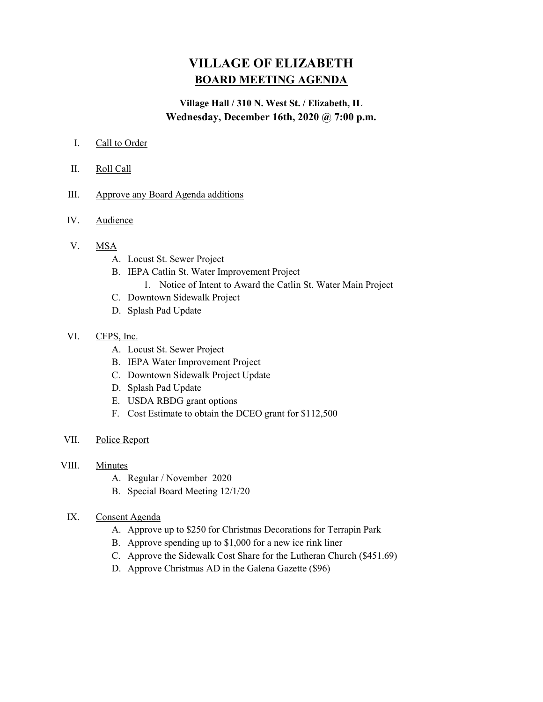# VILLAGE OF ELIZABETH BOARD MEETING AGENDA

# Village Hall / 310 N. West St. / Elizabeth, IL Wednesday, December 16th, 2020 @ 7:00 p.m.

# I. Call to Order

- II. Roll Call
- III. Approve any Board Agenda additions
- IV. Audience
- V. MSA
	- A. Locust St. Sewer Project
	- B. IEPA Catlin St. Water Improvement Project
		- 1. Notice of Intent to Award the Catlin St. Water Main Project
	- C. Downtown Sidewalk Project
	- D. Splash Pad Update
- VI. CFPS, Inc.
	- A. Locust St. Sewer Project
	- B. IEPA Water Improvement Project
	- C. Downtown Sidewalk Project Update
	- D. Splash Pad Update
	- E. USDA RBDG grant options
	- F. Cost Estimate to obtain the DCEO grant for \$112,500
- VII. Police Report

#### VIII. Minutes

- A. Regular / November 2020
- B. Special Board Meeting 12/1/20

#### IX. Consent Agenda

- A. Approve up to \$250 for Christmas Decorations for Terrapin Park
- B. Approve spending up to \$1,000 for a new ice rink liner
- C. Approve the Sidewalk Cost Share for the Lutheran Church (\$451.69)
- D. Approve Christmas AD in the Galena Gazette (\$96)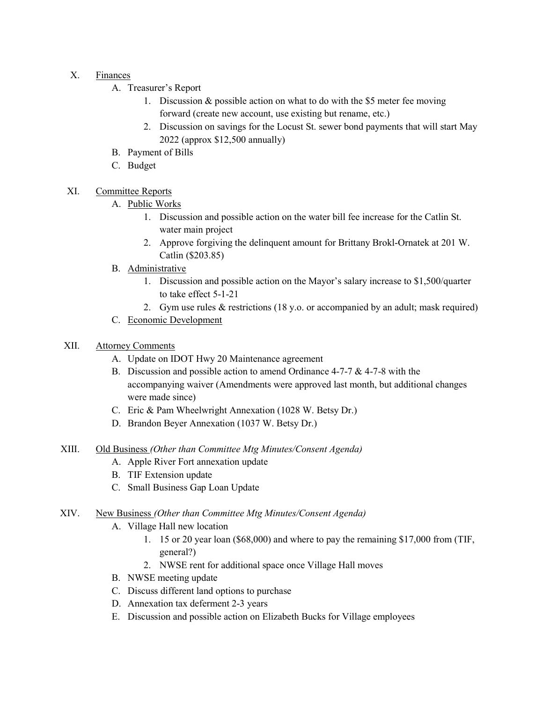#### X. Finances

- A. Treasurer's Report
	- 1. Discussion & possible action on what to do with the \$5 meter fee moving forward (create new account, use existing but rename, etc.)
	- 2. Discussion on savings for the Locust St. sewer bond payments that will start May 2022 (approx \$12,500 annually)
- B. Payment of Bills
- C. Budget

# XI. Committee Reports

- A. Public Works
	- 1. Discussion and possible action on the water bill fee increase for the Catlin St. water main project
	- 2. Approve forgiving the delinquent amount for Brittany Brokl-Ornatek at 201 W. Catlin (\$203.85)
- B. Administrative
	- 1. Discussion and possible action on the Mayor's salary increase to \$1,500/quarter to take effect 5-1-21
	- 2. Gym use rules & restrictions (18 y.o. or accompanied by an adult; mask required)
- C. Economic Development

# XII. Attorney Comments

- A. Update on IDOT Hwy 20 Maintenance agreement
- B. Discussion and possible action to amend Ordinance  $4-7-7 & 4-7-8$  with the accompanying waiver (Amendments were approved last month, but additional changes were made since)
- C. Eric & Pam Wheelwright Annexation (1028 W. Betsy Dr.)
- D. Brandon Beyer Annexation (1037 W. Betsy Dr.)
- XIII. Old Business (Other than Committee Mtg Minutes/Consent Agenda)
	- A. Apple River Fort annexation update
	- B. TIF Extension update
	- C. Small Business Gap Loan Update

# XIV. New Business (Other than Committee Mtg Minutes/Consent Agenda)

- A. Village Hall new location
	- 1. 15 or 20 year loan (\$68,000) and where to pay the remaining \$17,000 from (TIF, general?)
	- 2. NWSE rent for additional space once Village Hall moves
- B. NWSE meeting update
- C. Discuss different land options to purchase
- D. Annexation tax deferment 2-3 years
- E. Discussion and possible action on Elizabeth Bucks for Village employees